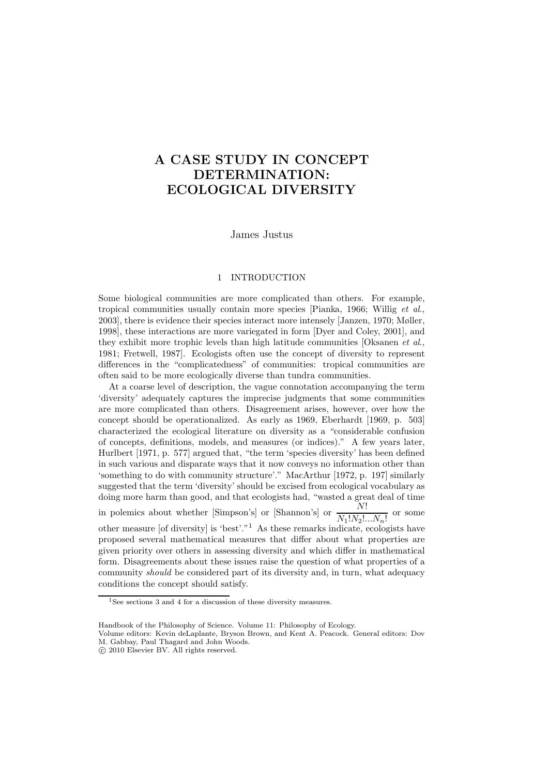# A CASE STUDY IN CONCEPT DETERMINATION: ECOLOGICAL DIVERSITY

James Justus

# 1 INTRODUCTION

Some biological communities are more complicated than others. For example, tropical communities usually contain more species [Pianka, 1966; Willig et al., 2003], there is evidence their species interact more intensely [Janzen, 1970; Møller, 1998], these interactions are more variegated in form [Dyer and Coley, 2001], and they exhibit more trophic levels than high latitude communities  $[Oksanen et al.,]$ 1981; Fretwell, 1987]. Ecologists often use the concept of diversity to represent differences in the "complicatedness" of communities: tropical communities are often said to be more ecologically diverse than tundra communities.

At a coarse level of description, the vague connotation accompanying the term 'diversity' adequately captures the imprecise judgments that some communities are more complicated than others. Disagreement arises, however, over how the concept should be operationalized. As early as 1969, Eberhardt [1969, p. 503] characterized the ecological literature on diversity as a "considerable confusion of concepts, definitions, models, and measures (or indices)." A few years later, Hurlbert [1971, p. 577] argued that, "the term 'species diversity' has been defined in such various and disparate ways that it now conveys no information other than 'something to do with community structure'." MacArthur [1972, p. 197] similarly suggested that the term 'diversity' should be excised from ecological vocabulary as doing more harm than good, and that ecologists had, "wasted a great deal of time in polemics about whether [Simpson's] or [Shannon's] or  $\frac{N!}{N_1!N_2!...N_n!}$  or some other measure [of diversity] is 'best'."<sup>1</sup> As these remarks indicate, ecologists have proposed several mathematical measures that differ about what properties are given priority over others in assessing diversity and which differ in mathematical form. Disagreements about these issues raise the question of what properties of a community *should* be considered part of its diversity and, in turn, what adequacy conditions the concept should satisfy.

<sup>1</sup>See sections 3 and 4 for a discussion of these diversity measures.

Handbook of the Philosophy of Science. Volume 11: Philosophy of Ecology.

Volume editors: Kevin deLaplante, Bryson Brown, and Kent A. Peacock. General editors: Dov M. Gabbay, Paul Thagard and John Woods.

c 2010 Elsevier BV. All rights reserved.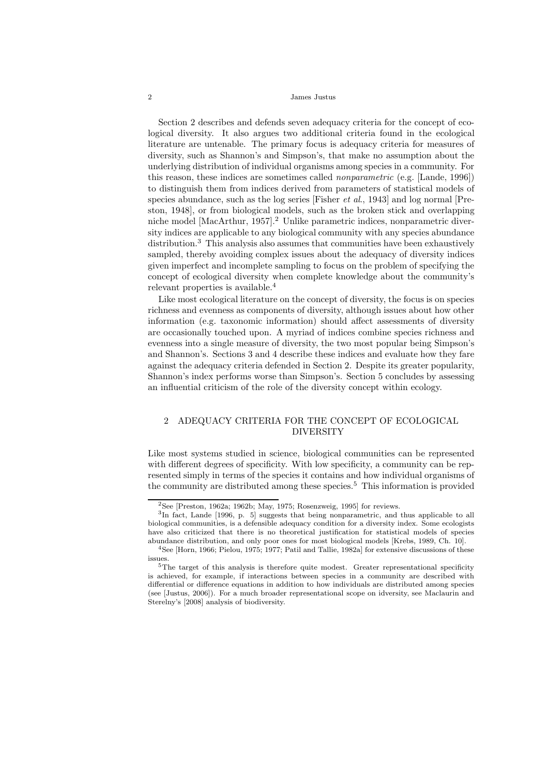Section 2 describes and defends seven adequacy criteria for the concept of ecological diversity. It also argues two additional criteria found in the ecological literature are untenable. The primary focus is adequacy criteria for measures of diversity, such as Shannon's and Simpson's, that make no assumption about the underlying distribution of individual organisms among species in a community. For this reason, these indices are sometimes called nonparametric (e.g. [Lande, 1996]) to distinguish them from indices derived from parameters of statistical models of species abundance, such as the log series [Fisher et al., 1943] and log normal [Preston, 1948], or from biological models, such as the broken stick and overlapping niche model [MacArthur, 1957].<sup>2</sup> Unlike parametric indices, nonparametric diversity indices are applicable to any biological community with any species abundance distribution.<sup>3</sup> This analysis also assumes that communities have been exhaustively sampled, thereby avoiding complex issues about the adequacy of diversity indices given imperfect and incomplete sampling to focus on the problem of specifying the concept of ecological diversity when complete knowledge about the community's relevant properties is available.<sup>4</sup>

Like most ecological literature on the concept of diversity, the focus is on species richness and evenness as components of diversity, although issues about how other information (e.g. taxonomic information) should affect assessments of diversity are occasionally touched upon. A myriad of indices combine species richness and evenness into a single measure of diversity, the two most popular being Simpson's and Shannon's. Sections 3 and 4 describe these indices and evaluate how they fare against the adequacy criteria defended in Section 2. Despite its greater popularity, Shannon's index performs worse than Simpson's. Section 5 concludes by assessing an influential criticism of the role of the diversity concept within ecology.

# 2 ADEQUACY CRITERIA FOR THE CONCEPT OF ECOLOGICAL DIVERSITY

Like most systems studied in science, biological communities can be represented with different degrees of specificity. With low specificity, a community can be represented simply in terms of the species it contains and how individual organisms of the community are distributed among these species.<sup>5</sup> This information is provided

 $2$ See [Preston, 1962a; 1962b; May, 1975; Rosenzweig, 1995] for reviews.

<sup>&</sup>lt;sup>3</sup>In fact, Lande [1996, p. 5] suggests that being nonparametric, and thus applicable to all biological communities, is a defensible adequacy condition for a diversity index. Some ecologists have also criticized that there is no theoretical justification for statistical models of species abundance distribution, and only poor ones for most biological models [Krebs, 1989, Ch. 10].

<sup>4</sup>See [Horn, 1966; Pielou, 1975; 1977; Patil and Tallie, 1982a] for extensive discussions of these issues.

 $5$ The target of this analysis is therefore quite modest. Greater representational specificity is achieved, for example, if interactions between species in a community are described with differential or difference equations in addition to how individuals are distributed among species (see [Justus, 2006]). For a much broader representational scope on idversity, see Maclaurin and Sterelny's [2008] analysis of biodiversity.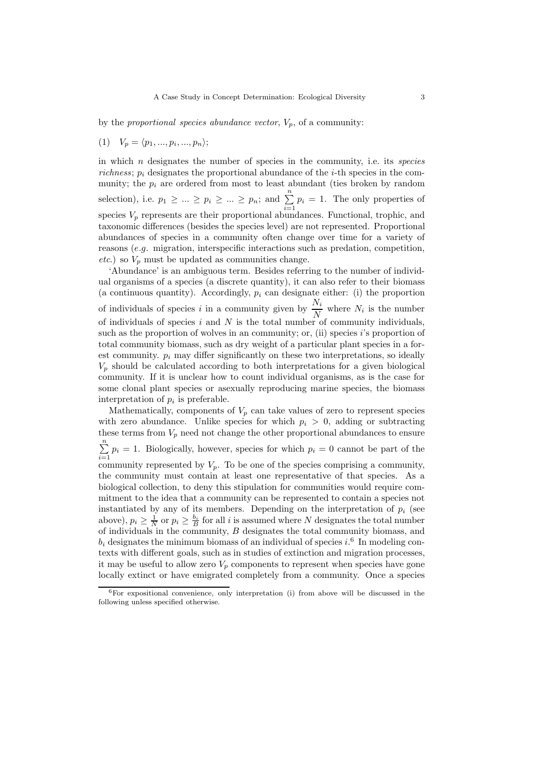by the proportional species abundance vector,  $V_p$ , of a community:

$$
(1) V_p = \langle p_1, \ldots, p_i, \ldots, p_n \rangle;
$$

in which  $n$  designates the number of species in the community, i.e. its *species* richness;  $p_i$  designates the proportional abundance of the *i*-th species in the community; the  $p_i$  are ordered from most to least abundant (ties broken by random selection), i.e.  $p_1 \geq \ldots \geq p_i \geq \ldots \geq p_n$ ; and  $\sum_{i=1}^n p_i = 1$ . The only properties of species  $V_p$  represents are their proportional abundances. Functional, trophic, and taxonomic differences (besides the species level) are not represented. Proportional abundances of species in a community often change over time for a variety of reasons (e.g. migration, interspecific interactions such as predation, competition, etc.) so  $V_p$  must be updated as communities change.

'Abundance' is an ambiguous term. Besides referring to the number of individual organisms of a species (a discrete quantity), it can also refer to their biomass (a continuous quantity). Accordingly,  $p_i$  can designate either: (i) the proportion of individuals of species i in a community given by  $\frac{N_i}{N}$  where  $N_i$  is the number of individuals of species i and  $N$  is the total number of community individuals. such as the proportion of wolves in an community; or, (ii) species  $i$ 's proportion of total community biomass, such as dry weight of a particular plant species in a forest community.  $p_i$  may differ significantly on these two interpretations, so ideally  $V_p$  should be calculated according to both interpretations for a given biological community. If it is unclear how to count individual organisms, as is the case for some clonal plant species or asexually reproducing marine species, the biomass interpretation of  $p_i$  is preferable.

Mathematically, components of  $V_p$  can take values of zero to represent species with zero abundance. Unlike species for which  $p_i > 0$ , adding or subtracting these terms from  $V_p$  need not change the other proportional abundances to ensure  $\sum_{n=1}^{\infty}$  $\sum_{i=1} p_i = 1$ . Biologically, however, species for which  $p_i = 0$  cannot be part of the community represented by  $V_p$ . To be one of the species comprising a community, the community must contain at least one representative of that species. As a biological collection, to deny this stipulation for communities would require commitment to the idea that a community can be represented to contain a species not instantiated by any of its members. Depending on the interpretation of  $p_i$  (see above),  $p_i \geq \frac{1}{N}$  or  $p_i \geq \frac{b_i}{B}$  for all i is assumed where N designates the total number of individuals in the community,  $B$  designates the total community biomass, and  $b_i$  designates the minimum biomass of an individual of species i.<sup>6</sup> In modeling contexts with different goals, such as in studies of extinction and migration processes, it may be useful to allow zero  $V_p$  components to represent when species have gone locally extinct or have emigrated completely from a community. Once a species

 $6$ For expositional convenience, only interpretation (i) from above will be discussed in the following unless specified otherwise.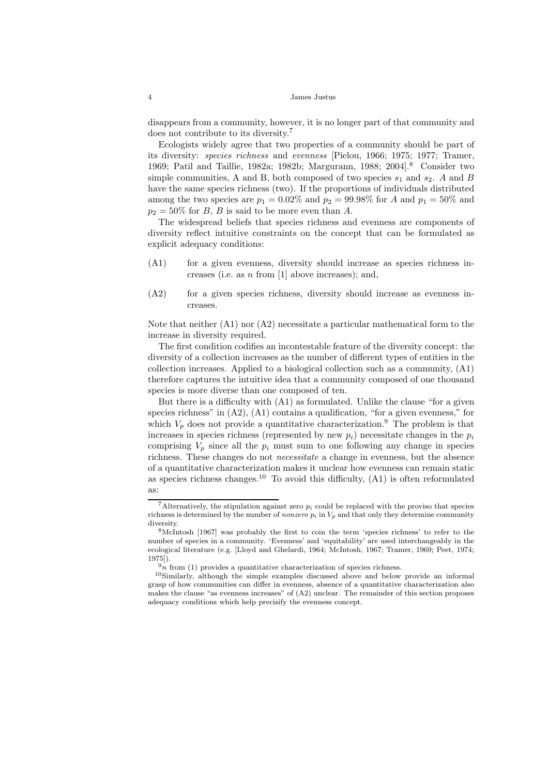disappears from a community, however, it is no longer part of that community and does not contribute to its diversity.<sup>7</sup>

Ecologists widely agree that two properties of a community should be part of its diversity: species richness and evenness [Pielou, 1966; 1975; 1977; Tramer, 1969; Patil and Taillie, 1982a; 1982b; Margurann, 1988; 2004].<sup>8</sup> Consider two simple communities, A and B, both composed of two species  $s_1$  and  $s_2$ . A and B have the same species richness (two). If the proportions of individuals distributed among the two species are  $p_1 = 0.02\%$  and  $p_2 = 99.98\%$  for A and  $p_1 = 50\%$  and  $p_2 = 50\%$  for B, B is said to be more even than A.

The widespread beliefs that species richness and evenness are components of diversity reflect intuitive constraints on the concept that can be formulated as explicit adequacy conditions:

- $(A1)$  for a given evenness, diversity should increase as species richness increases (i.e. as n from [1] above increases); and,
- $(A2)$  for a given species richness, diversity should increase as evenness increases.

Note that neither  $(A1)$  nor  $(A2)$  necessitate a particular mathematical form to the increase in diversity required.

The first condition codifies an incontestable feature of the diversity concept: the diversity of a collection increases as the number of different types of entities in the collection increases. Applied to a biological collection such as a community, (A1) therefore captures the intuitive idea that a community composed of one thousand species is more diverse than one composed of ten.

But there is a difficulty with (A1) as formulated. Unlike the clause "for a given species richness" in (A2), (A1) contains a qualification, "for a given evenness," for which  $V_p$  does not provide a quantitative characterization.<sup>9</sup> The problem is that increases in species richness (represented by new  $p_i$ ) necessitate changes in the  $p_i$ comprising  $V_p$  since all the  $p_i$  must sum to one following any change in species richness. These changes do not necessitate a change in evenness, but the absence of a quantitative characterization makes it unclear how evenness can remain static as species richness changes.<sup>10</sup> To avoid this difficulty,  $(A1)$  is often reformulated as:

<sup>&</sup>lt;sup>7</sup>Alternatively, the stipulation against zero  $p_i$  could be replaced with the proviso that species richness is determined by the number of *nonzero*  $p_i$  in  $V_p$  and that only they determine community diversity.

<sup>8</sup>McIntosh [1967] was probably the first to coin the term 'species richness' to refer to the number of species in a community. 'Evenness' and 'equitability' are used interchangeably in the ecological literature (e.g. [Lloyd and Ghelardi, 1964; McIntosh, 1967; Tramer, 1969; Peet, 1974; 1975]).

 $\overline{9n}$  from (1) provides a quantitative characterization of species richness.

<sup>10</sup>Similarly, although the simple examples discussed above and below provide an informal grasp of how communities can differ in evenness, absence of a quantitative characterization also makes the clause "as evenness increases" of (A2) unclear. The remainder of this section proposes adequacy conditions which help precisify the evenness concept.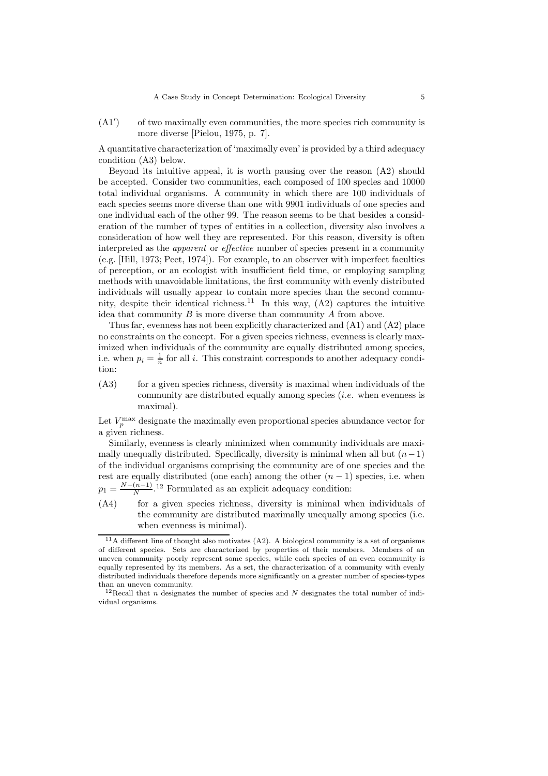$(A1')$ ) of two maximally even communities, the more species rich community is more diverse [Pielou, 1975, p. 7].

A quantitative characterization of 'maximally even' is provided by a third adequacy condition (A3) below.

Beyond its intuitive appeal, it is worth pausing over the reason (A2) should be accepted. Consider two communities, each composed of 100 species and 10000 total individual organisms. A community in which there are 100 individuals of each species seems more diverse than one with 9901 individuals of one species and one individual each of the other 99. The reason seems to be that besides a consideration of the number of types of entities in a collection, diversity also involves a consideration of how well they are represented. For this reason, diversity is often interpreted as the apparent or effective number of species present in a community (e.g. [Hill, 1973; Peet, 1974]). For example, to an observer with imperfect faculties of perception, or an ecologist with insufficient field time, or employing sampling methods with unavoidable limitations, the first community with evenly distributed individuals will usually appear to contain more species than the second community, despite their identical richness.<sup>11</sup> In this way,  $(A2)$  captures the intuitive idea that community  $B$  is more diverse than community  $A$  from above.

Thus far, evenness has not been explicitly characterized and (A1) and (A2) place no constraints on the concept. For a given species richness, evenness is clearly maximized when individuals of the community are equally distributed among species, i.e. when  $p_i = \frac{1}{n}$  for all i. This constraint corresponds to another adequacy condition:

 $(A3)$  for a given species richness, diversity is maximal when individuals of the community are distributed equally among species (i.e. when evenness is maximal).

Let  $V_p^{\text{max}}$  designate the maximally even proportional species abundance vector for a given richness.

Similarly, evenness is clearly minimized when community individuals are maximally unequally distributed. Specifically, diversity is minimal when all but  $(n-1)$ of the individual organisms comprising the community are of one species and the rest are equally distributed (one each) among the other  $(n - 1)$  species, i.e. when  $p_1 = \frac{N-(n-1)}{N}$ <sup>12</sup> Formulated as an explicit adequacy condition:

(A4) for a given species richness, diversity is minimal when individuals of the community are distributed maximally unequally among species (i.e. when evenness is minimal).

 $11A$  different line of thought also motivates (A2). A biological community is a set of organisms of different species. Sets are characterized by properties of their members. Members of an uneven community poorly represent some species, while each species of an even community is equally represented by its members. As a set, the characterization of a community with evenly distributed individuals therefore depends more significantly on a greater number of species-types than an uneven community.

<sup>&</sup>lt;sup>12</sup>Recall that *n* designates the number of species and N designates the total number of individual organisms.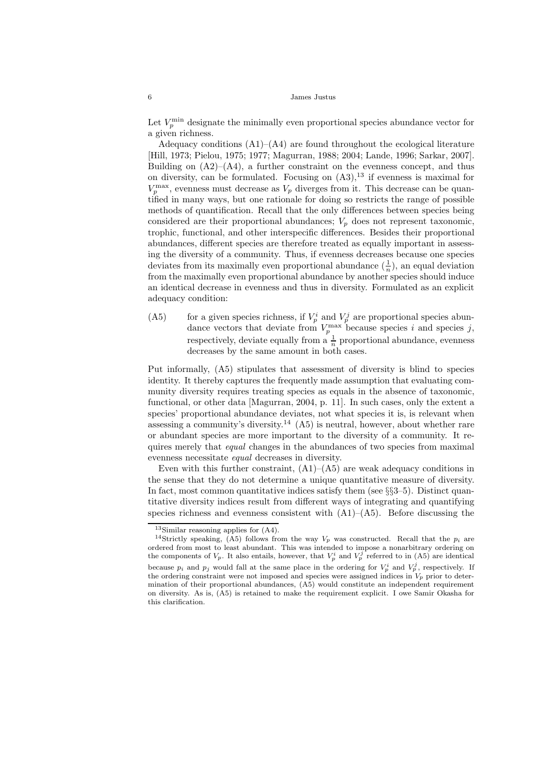Let  $V_p^{\text{min}}$  designate the minimally even proportional species abundance vector for a given richness.

Adequacy conditions  $(A1)$ – $(A4)$  are found throughout the ecological literature [Hill, 1973; Pielou, 1975; 1977; Magurran, 1988; 2004; Lande, 1996; Sarkar, 2007]. Building on  $(A2)$ – $(A4)$ , a further constraint on the evenness concept, and thus on diversity, can be formulated. Focusing on  $(A3)$ ,<sup>13</sup> if evenness is maximal for  $V_p^{\text{max}}$ , evenness must decrease as  $V_p$  diverges from it. This decrease can be quantified in many ways, but one rationale for doing so restricts the range of possible methods of quantification. Recall that the only differences between species being considered are their proportional abundances;  $V_p$  does not represent taxonomic, trophic, functional, and other interspecific differences. Besides their proportional abundances, different species are therefore treated as equally important in assessing the diversity of a community. Thus, if evenness decreases because one species deviates from its maximally even proportional abundance  $(\frac{1}{n})$ , an equal deviation from the maximally even proportional abundance by another species should induce an identical decrease in evenness and thus in diversity. Formulated as an explicit adequacy condition:

(A5) for a given species richness, if  $V_p^i$  and  $V_p^j$  are proportional species abundance vectors that deviate from  $V_p^{\max}$  because species i and species j, respectively, deviate equally from a  $\frac{1}{n}$  proportional abundance, evenness decreases by the same amount in both cases.

Put informally, (A5) stipulates that assessment of diversity is blind to species identity. It thereby captures the frequently made assumption that evaluating community diversity requires treating species as equals in the absence of taxonomic, functional, or other data [Magurran, 2004, p. 11]. In such cases, only the extent a species' proportional abundance deviates, not what species it is, is relevant when assessing a community's diversity.<sup>14</sup>  $(A5)$  is neutral, however, about whether rare or abundant species are more important to the diversity of a community. It requires merely that *equal* changes in the abundances of two species from maximal evenness necessitate equal decreases in diversity.

Even with this further constraint,  $(A1)$ – $(A5)$  are weak adequacy conditions in the sense that they do not determine a unique quantitative measure of diversity. In fact, most common quantitative indices satisfy them (see §§3–5). Distinct quantitative diversity indices result from different ways of integrating and quantifying species richness and evenness consistent with  $(A1)$ – $(A5)$ . Before discussing the

<sup>13</sup>Similar reasoning applies for (A4).

<sup>&</sup>lt;sup>14</sup>Strictly speaking, (A5) follows from the way  $V_p$  was constructed. Recall that the  $p_i$  are ordered from most to least abundant. This was intended to impose a nonarbitrary ordering on the components of  $V_p$ . It also entails, however, that  $V_p^i$  and  $V_p^j$  referred to in (A5) are identical because  $p_i$  and  $p_j$  would fall at the same place in the ordering for  $V_p^i$  and  $V_p^j$ , respectively. If the ordering constraint were not imposed and species were assigned indices in  $V_p$  prior to determination of their proportional abundances, (A5) would constitute an independent requirement on diversity. As is, (A5) is retained to make the requirement explicit. I owe Samir Okasha for this clarification.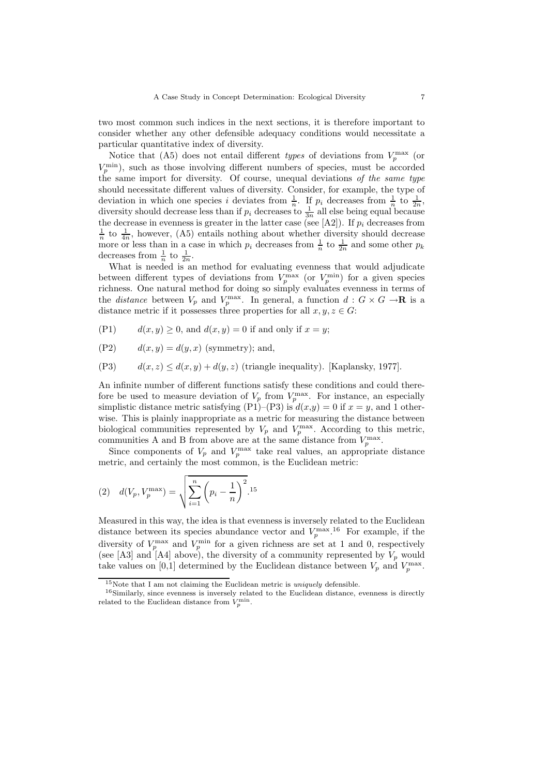two most common such indices in the next sections, it is therefore important to consider whether any other defensible adequacy conditions would necessitate a particular quantitative index of diversity.

Notice that (A5) does not entail different *types* of deviations from  $V_p^{\text{max}}$  (or  $V_p^{\text{min}}$ ), such as those involving different numbers of species, must be accorded the same import for diversity. Of course, unequal deviations of the same type should necessitate different values of diversity. Consider, for example, the type of deviation in which one species i deviates from  $\frac{1}{n}$ . If  $p_i$  decreases from  $\frac{1}{n}$  to  $\frac{1}{2n}$ , diversity should decrease less than if  $p_i$  decreases to  $\frac{1}{3n}$  all else being equal because the decrease in evenness is greater in the latter case (see [A2]). If  $p_i$  decreases from  $\frac{1}{n}$  to  $\frac{1}{4n}$ , however, (A5) entails nothing about whether diversity should decrease more or less than in a case in which  $p_i$  decreases from  $\frac{1}{n}$  to  $\frac{1}{2n}$  and some other  $p_k$ decreases from  $\frac{1}{n}$  to  $\frac{1}{2n}$ .

What is needed is an method for evaluating evenness that would adjudicate between different types of deviations from  $V_p^{\text{max}}$  (or  $V_p^{\text{min}}$ ) for a given species richness. One natural method for doing so simply evaluates evenness in terms of the *distance* between  $V_p$  and  $V_p^{\text{max}}$ . In general, a function  $d: G \times G \to \mathbf{R}$  is a distance metric if it possesses three properties for all  $x, y, z \in G$ :

- (P1)  $d(x, y) \ge 0$ , and  $d(x, y) = 0$  if and only if  $x = y$ ;
- (P2)  $d(x, y) = d(y, x)$  (symmetry); and,
- (P3)  $d(x, z) \leq d(x, y) + d(y, z)$  (triangle inequality). [Kaplansky, 1977].

An infinite number of different functions satisfy these conditions and could therefore be used to measure deviation of  $V_p$  from  $V_p^{\max}$ . For instance, an especially simplistic distance metric satisfying (P1)–(P3) is  $d(x,y) = 0$  if  $x = y$ , and 1 otherwise. This is plainly inappropriate as a metric for measuring the distance between biological communities represented by  $V_p$  and  $V_p^{\text{max}}$ . According to this metric, communities A and B from above are at the same distance from  $V_p^{\max}$ .

Since components of  $V_p$  and  $V_p^{\text{max}}$  take real values, an appropriate distance metric, and certainly the most common, is the Euclidean metric:

(2) 
$$
d(V_p, V_p^{\max}) = \sqrt{\sum_{i=1}^{n} (p_i - \frac{1}{n})^2}^{1.15}
$$

Measured in this way, the idea is that evenness is inversely related to the Euclidean distance between its species abundance vector and  $V_p^{\text{max}}$ .<sup>16</sup> For example, if the diversity of  $V_p^{\text{max}}$  and  $V_p^{\text{min}}$  for a given richness are set at 1 and 0, respectively (see [A3] and [A4] above), the diversity of a community represented by  $V_p$  would take values on [0,1] determined by the Euclidean distance between  $V_p$  and  $V_p^{\text{max}}$ .

<sup>15</sup>Note that I am not claiming the Euclidean metric is *uniquely* defensible.

<sup>&</sup>lt;sup>16</sup>Similarly, since evenness is inversely related to the Euclidean distance, evenness is directly related to the Euclidean distance from  $V_p^{\text{min}}$ .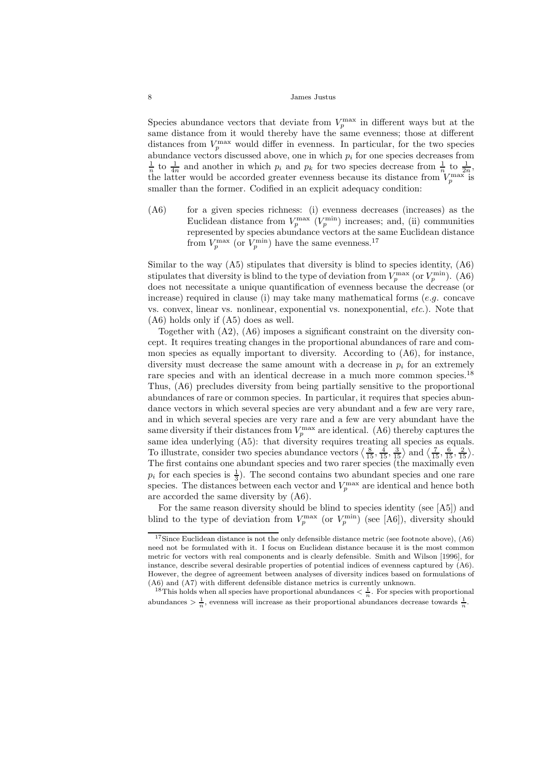Species abundance vectors that deviate from  $V_p^{\text{max}}$  in different ways but at the same distance from it would thereby have the same evenness; those at different distances from  $V_p^{\max}$  would differ in evenness. In particular, for the two species abundance vectors discussed above, one in which  $p_i$  for one species decreases from  $\frac{1}{n}$  to  $\frac{1}{4n}$  and another in which  $p_i$  and  $p_k$  for two species decrease from  $\frac{1}{n}$  to  $\frac{1}{2n}$ , the latter would be accorded greater evenness because its distance from  $V_p^{\max}$  is smaller than the former. Codified in an explicit adequacy condition:

(A6) for a given species richness: (i) evenness decreases (increases) as the Euclidean distance from  $V_p^{\text{max}}$   $(V_p^{\text{min}})$  increases; and, (ii) communities represented by species abundance vectors at the same Euclidean distance from  $V_p^{\text{max}}$  (or  $V_p^{\text{min}}$ ) have the same evenness.<sup>17</sup>

Similar to the way (A5) stipulates that diversity is blind to species identity, (A6) stipulates that diversity is blind to the type of deviation from  $V_p^{\text{max}}$  (or  $V_p^{\text{min}}$ ). (A6) does not necessitate a unique quantification of evenness because the decrease (or increase) required in clause (i) may take many mathematical forms  $(e.g.$  concave vs. convex, linear vs. nonlinear, exponential vs. nonexponential, etc.). Note that (A6) holds only if (A5) does as well.

Together with (A2), (A6) imposes a significant constraint on the diversity concept. It requires treating changes in the proportional abundances of rare and common species as equally important to diversity. According to  $(A6)$ , for instance, diversity must decrease the same amount with a decrease in  $p_i$  for an extremely rare species and with an identical decrease in a much more common species.<sup>18</sup> Thus, (A6) precludes diversity from being partially sensitive to the proportional abundances of rare or common species. In particular, it requires that species abundance vectors in which several species are very abundant and a few are very rare, and in which several species are very rare and a few are very abundant have the same diversity if their distances from  $V_p^{\text{max}}$  are identical. (A6) thereby captures the same idea underlying (A5): that diversity requires treating all species as equals. To illustrate, consider two species abundance vectors  $\left\langle \frac{8}{15}, \frac{4}{15}, \frac{3}{15} \right\rangle$  and  $\left\langle \frac{7}{15}, \frac{6}{15}, \frac{2}{15} \right\rangle$ . The first contains one abundant species and two rarer species (the maximally even  $p_i$  for each species is  $\frac{1}{3}$ . The second contains two abundant species and one rare species. The distances between each vector and  $V_p^{\text{max}}$  are identical and hence both are accorded the same diversity by (A6).

For the same reason diversity should be blind to species identity (see  $[A5]$ ) and blind to the type of deviation from  $V_p^{\max}$  (or  $V_p^{\min}$ ) (see [A6]), diversity should

 $^{17}{\rm Since}$  Euclidean distance is not the only defensible distance metric (see footnote above), (A6) need not be formulated with it. I focus on Euclidean distance because it is the most common metric for vectors with real components and is clearly defensible. Smith and Wilson [1996], for instance, describe several desirable properties of potential indices of evenness captured by (A6). However, the degree of agreement between analyses of diversity indices based on formulations of (A6) and (A7) with different defensible distance metrics is currently unknown.

<sup>&</sup>lt;sup>18</sup>This holds when all species have proportional abundances  $\langle \frac{1}{n} \rangle$ . For species with proportional abundances  $\frac{1}{n}$ , evenness will increase as their proportional abundances decrease towards  $\frac{1}{n}$ .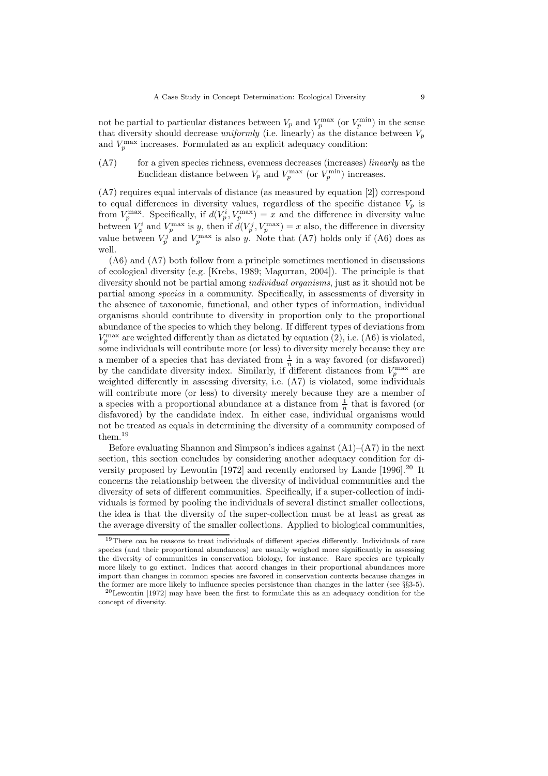not be partial to particular distances between  $V_p$  and  $V_p^{\max}$  (or  $V_p^{\min}$ ) in the sense that diversity should decrease uniformly (i.e. linearly) as the distance between  $V_p$ and  $V_p^{\text{max}}$  increases. Formulated as an explicit adequacy condition:

(A7) for a given species richness, evenness decreases (increases) *linearly* as the Euclidean distance between  $V_p$  and  $V_p^{\max}$  (or  $V_p^{\min}$ ) increases.

(A7) requires equal intervals of distance (as measured by equation [2]) correspond to equal differences in diversity values, regardless of the specific distance  $V_p$  is from  $V_p^{\text{max}}$ . Specifically, if  $d(V_p^i, V_p^{\text{max}}) = x$  and the difference in diversity value between  $V_p^i$  and  $V_p^{\max}$  is y, then if  $d(V_p^j, V_p^{\max}) = x$  also, the difference in diversity value between  $V_p^j$  and  $V_p^{\text{max}}$  is also y. Note that (A7) holds only if (A6) does as well.

(A6) and (A7) both follow from a principle sometimes mentioned in discussions of ecological diversity (e.g. [Krebs, 1989; Magurran, 2004]). The principle is that diversity should not be partial among individual organisms, just as it should not be partial among species in a community. Specifically, in assessments of diversity in the absence of taxonomic, functional, and other types of information, individual organisms should contribute to diversity in proportion only to the proportional abundance of the species to which they belong. If different types of deviations from  $V_p^{\text{max}}$  are weighted differently than as dictated by equation (2), i.e. (A6) is violated, some individuals will contribute more (or less) to diversity merely because they are a member of a species that has deviated from  $\frac{1}{n}$  in a way favored (or disfavored) by the candidate diversity index. Similarly, if different distances from  $V_p^{\text{max}}$  are weighted differently in assessing diversity, i.e. (A7) is violated, some individuals will contribute more (or less) to diversity merely because they are a member of a species with a proportional abundance at a distance from  $\frac{1}{n}$  that is favored (or disfavored) by the candidate index. In either case, individual organisms would not be treated as equals in determining the diversity of a community composed of them.<sup>19</sup>

Before evaluating Shannon and Simpson's indices against  $(A1)$ – $(A7)$  in the next section, this section concludes by considering another adequacy condition for diversity proposed by Lewontin [1972] and recently endorsed by Lande [1996].<sup>20</sup> It concerns the relationship between the diversity of individual communities and the diversity of sets of different communities. Specifically, if a super-collection of individuals is formed by pooling the individuals of several distinct smaller collections, the idea is that the diversity of the super-collection must be at least as great as the average diversity of the smaller collections. Applied to biological communities,

<sup>&</sup>lt;sup>19</sup>There *can* be reasons to treat individuals of different species differently. Individuals of rare species (and their proportional abundances) are usually weighed more significantly in assessing the diversity of communities in conservation biology, for instance. Rare species are typically more likely to go extinct. Indices that accord changes in their proportional abundances more import than changes in common species are favored in conservation contexts because changes in the former are more likely to influence species persistence than changes in the latter (see §§3-5).

 $^{20}$ Lewontin [1972] may have been the first to formulate this as an adequacy condition for the concept of diversity.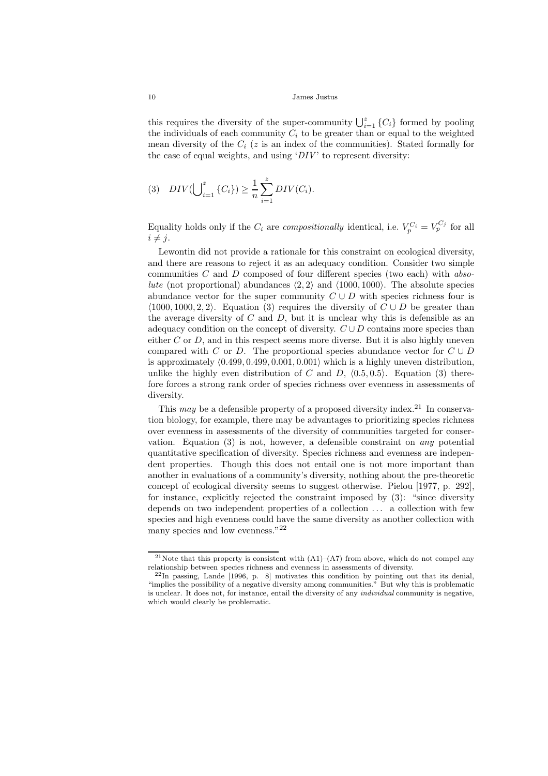this requires the diversity of the super-community  $\bigcup_{i=1}^{z} \{C_i\}$  formed by pooling the individuals of each community  $C_i$  to be greater than or equal to the weighted mean diversity of the  $C_i$  (z is an index of the communities). Stated formally for the case of equal weights, and using  $'DIV'$  to represent diversity:

(3) 
$$
DIV(\bigcup_{i=1}^{z} \{C_i\}) \geq \frac{1}{n} \sum_{i=1}^{z} DIV(C_i).
$$

Equality holds only if the  $C_i$  are *compositionally* identical, i.e.  $V_p^{C_i} = V_p^{C_j}$  for all  $i \neq i$ .

Lewontin did not provide a rationale for this constraint on ecological diversity, and there are reasons to reject it as an adequacy condition. Consider two simple communities  $C$  and  $D$  composed of four different species (two each) with absolute (not proportional) abundances  $\langle 2, 2 \rangle$  and  $\langle 1000, 1000 \rangle$ . The absolute species abundance vector for the super community  $C \cup D$  with species richness four is  $\langle 1000, 1000, 2, 2 \rangle$ . Equation (3) requires the diversity of  $C \cup D$  be greater than the average diversity of  $C$  and  $D$ , but it is unclear why this is defensible as an adequacy condition on the concept of diversity.  $C \cup D$  contains more species than either  $C$  or  $D$ , and in this respect seems more diverse. But it is also highly uneven compared with C or D. The proportional species abundance vector for  $C \cup D$ is approximately  $(0.499, 0.499, 0.001, 0.001)$  which is a highly uneven distribution, unlike the highly even distribution of C and D,  $\langle 0.5, 0.5 \rangle$ . Equation (3) therefore forces a strong rank order of species richness over evenness in assessments of diversity.

This may be a defensible property of a proposed diversity index.<sup>21</sup> In conservation biology, for example, there may be advantages to prioritizing species richness over evenness in assessments of the diversity of communities targeted for conservation. Equation (3) is not, however, a defensible constraint on any potential quantitative specification of diversity. Species richness and evenness are independent properties. Though this does not entail one is not more important than another in evaluations of a community's diversity, nothing about the pre-theoretic concept of ecological diversity seems to suggest otherwise. Pielou [1977, p. 292], for instance, explicitly rejected the constraint imposed by (3): "since diversity depends on two independent properties of a collection ... a collection with few species and high evenness could have the same diversity as another collection with many species and low evenness."<sup>22</sup>

<sup>&</sup>lt;sup>21</sup>Note that this property is consistent with  $(A1)–(A7)$  from above, which do not compel any relationship between species richness and evenness in assessments of diversity.

 $^{22}$ In passing, Lande [1996, p. 8] motivates this condition by pointing out that its denial, "implies the possibility of a negative diversity among communities." But why this is problematic is unclear. It does not, for instance, entail the diversity of any *individual* community is negative, which would clearly be problematic.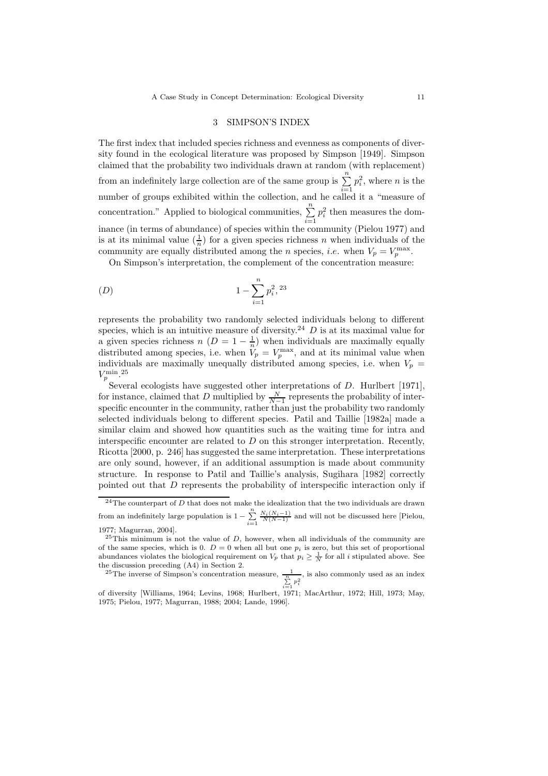# 3 SIMPSON'S INDEX

The first index that included species richness and evenness as components of diversity found in the ecological literature was proposed by Simpson [1949]. Simpson claimed that the probability two individuals drawn at random (with replacement) from an indefinitely large collection are of the same group is  $\sum_{n=1}^n$  $i=1$  $p_i^2$ , where *n* is the number of groups exhibited within the collection, and he called it a "measure of concentration." Applied to biological communities,  $\sum_{n=1}^{\infty}$  $i=1$  $p_i^2$  then measures the dominance (in terms of abundance) of species within the community (Pielou 1977) and is at its minimal value  $(\frac{1}{n})$  for a given species richness n when individuals of the community are equally distributed among the *n* species, *i.e.* when  $V_p = V_p^{\max}$ .

On Simpson's interpretation, the complement of the concentration measure:

$$
(D) \t\t 1 - \sum_{i=1}^{n} p_i^2,^{23}
$$

represents the probability two randomly selected individuals belong to different species, which is an intuitive measure of diversity.<sup>24</sup>  $D$  is at its maximal value for a given species richness  $n (D = 1 - \frac{1}{n})$  when individuals are maximally equally distributed among species, i.e. when  $V_p = V_p^{\text{max}}$ , and at its minimal value when individuals are maximally unequally distributed among species, i.e. when  $V_p =$  $V_p^{\rm min}.^{\rm 25}$ 

Several ecologists have suggested other interpretations of D. Hurlbert [1971], for instance, claimed that D multiplied by  $\frac{N}{N-1}$  represents the probability of inter-<br>represents the property in the community at the print of the probability two non-lambe specific encounter in the community, rather than just the probability two randomly selected individuals belong to different species. Patil and Taillie [1982a] made a similar claim and showed how quantities such as the waiting time for intra and interspecific encounter are related to  $D$  on this stronger interpretation. Recently, Ricotta [2000, p. 246] has suggested the same interpretation. These interpretations are only sound, however, if an additional assumption is made about community structure. In response to Patil and Taillie's analysis, Sugihara [1982] correctly pointed out that D represents the probability of interspecific interaction only if

<sup>&</sup>lt;sup>24</sup>The counterpart of  $D$  that does not make the idealization that the two individuals are drawn from an indefinitely large population is  $1 - \sum_{i=1}^{n}$  $\frac{N_i(N_i-1)}{N(N-1)}$  and will not be discussed here [Pielou,

<sup>1977;</sup> Magurran, 2004].

 $^{25}$ This minimum is not the value of D, however, when all individuals of the community are of the same species, which is 0.  $D = 0$  when all but one  $p_i$  is zero, but this set of proportional abundances violates the biological requirement on  $V_p$  that  $p_i \geq \frac{1}{N}$  for all i stipulated above. See the discussion preceding (A4) in Section 2.

<sup>&</sup>lt;sup>25</sup>The inverse of Simpson's concentration measure,  $\frac{1}{\sum_{i=1}^{n} p_i^2}$ , is also commonly used as an index

of diversity [Williams, 1964; Levins, 1968; Hurlbert, 1971; MacArthur, 1972; Hill, 1973; May, 1975; Pielou, 1977; Magurran, 1988; 2004; Lande, 1996].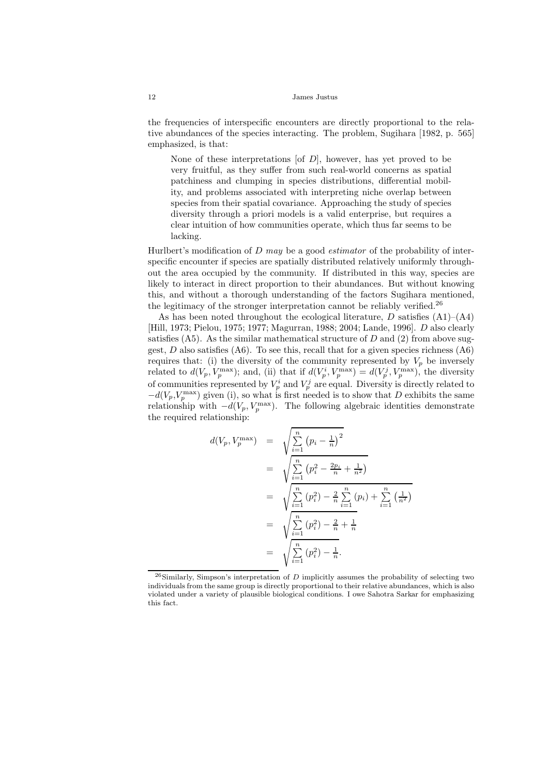the frequencies of interspecific encounters are directly proportional to the relative abundances of the species interacting. The problem, Sugihara [1982, p. 565] emphasized, is that:

None of these interpretations  $[of\, D]$ , however, has yet proved to be very fruitful, as they suffer from such real-world concerns as spatial patchiness and clumping in species distributions, differential mobility, and problems associated with interpreting niche overlap between species from their spatial covariance. Approaching the study of species diversity through a priori models is a valid enterprise, but requires a clear intuition of how communities operate, which thus far seems to be lacking.

Hurlbert's modification of  $D$  may be a good *estimator* of the probability of interspecific encounter if species are spatially distributed relatively uniformly throughout the area occupied by the community. If distributed in this way, species are likely to interact in direct proportion to their abundances. But without knowing this, and without a thorough understanding of the factors Sugihara mentioned, the legitimacy of the stronger interpretation cannot be reliably verified.<sup>26</sup>

As has been noted throughout the ecological literature,  $D$  satisfies  $(A1)$ – $(A4)$ [Hill, 1973; Pielou, 1975; 1977; Magurran, 1988; 2004; Lande, 1996]. D also clearly satisfies  $(A5)$ . As the similar mathematical structure of D and  $(2)$  from above suggest,  $D$  also satisfies (A6). To see this, recall that for a given species richness (A6) requires that: (i) the diversity of the community represented by  $V_p$  be inversely related to  $d(V_p, V_p^{\text{max}})$ ; and, (ii) that if  $d(V_p^i, V_p^{\text{max}}) = d(V_p^j, V_p^{\text{max}})$ , the diversity of communities represented by  $V_p^i$  and  $V_p^j$  are equal. Diversity is directly related to  $-d(V_p, V_p^{\text{max}})$  given (i), so what is first needed is to show that D exhibits the same relationship with  $-d(V_p, V_p^{\text{max}})$ . The following algebraic identities demonstrate the required relationship:

$$
d(V_p, V_p^{\max}) = \sqrt{\sum_{i=1}^n (p_i - \frac{1}{n})^2}
$$
  
=  $\sqrt{\sum_{i=1}^n (p_i^2 - \frac{2p_i}{n} + \frac{1}{n^2})}$   
=  $\sqrt{\sum_{i=1}^n (p_i^2) - \frac{2}{n} \sum_{i=1}^n (p_i) + \sum_{i=1}^n (\frac{1}{n^2})}$   
=  $\sqrt{\sum_{i=1}^n (p_i^2) - \frac{2}{n} + \frac{1}{n}}$   
=  $\sqrt{\sum_{i=1}^n (p_i^2) - \frac{1}{n}}.$ 

<sup>&</sup>lt;sup>26</sup>Similarly, Simpson's interpretation of D implicitly assumes the probability of selecting two individuals from the same group is directly proportional to their relative abundances, which is also violated under a variety of plausible biological conditions. I owe Sahotra Sarkar for emphasizing this fact.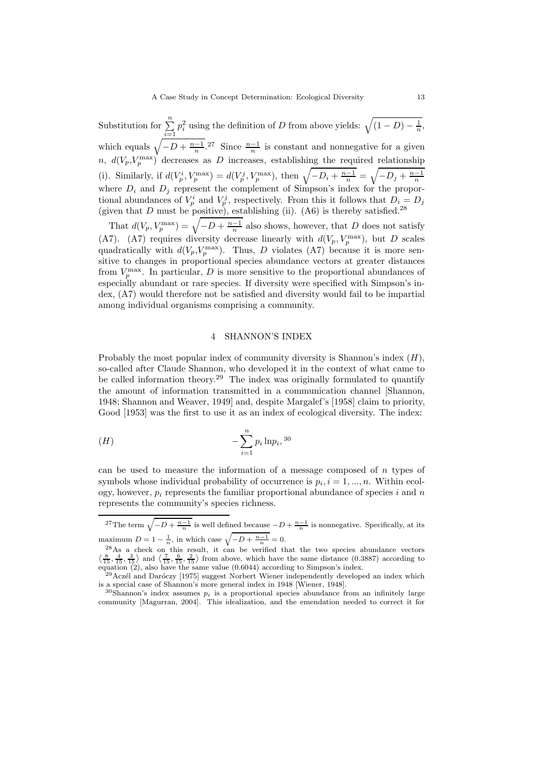Substitution for  $\sum_{n=1}^{\infty}$  $i=1$  $p_i^2$  using the definition of D from above yields:  $\sqrt{(1-D)-\frac{1}{n}}$ , which equals  $\sqrt{-D + \frac{n-1}{n}}$ .<sup>27</sup> Since  $\frac{n-1}{n}$  is constant and nonnegative for a given n,  $d(V_p, V_p^{\text{max}})$  decreases as D increases, establishing the required relationship (i). Similarly, if  $d(V_p^i, V_p^{\max}) = d(V_p^j, V_p^{\max})$ , then  $\sqrt{-D_i + \frac{n-1}{n}} = \sqrt{-D_j + \frac{n-1}{n}}$ where  $D_i$  and  $D_j$  represent the complement of Simpson's index for the proportional abundances of  $V_p^i$  and  $V_p^j$ , respectively. From this it follows that  $D_i = D_j$ (given that D must be positive), establishing (ii).  $(A6)$  is thereby satisfied.<sup>28</sup>

That  $d(V_p, V_p^{\max}) = \sqrt{-D + \frac{n-1}{n}}$  also shows, however, that D does not satisfy (A7). (A7) requires diversity decrease linearly with  $d(V_p, V_p^{\text{max}})$ , but D scales quadratically with  $d(V_p, V_p^{\text{max}})$ . Thus, D violates (A7) because it is more sensitive to changes in proportional species abundance vectors at greater distances from  $V_p^{\text{max}}$ . In particular, D is more sensitive to the proportional abundances of especially abundant or rare species. If diversity were specified with Simpson's index, (A7) would therefore not be satisfied and diversity would fail to be impartial among individual organisms comprising a community.

# 4 SHANNON'S INDEX

Probably the most popular index of community diversity is Shannon's index  $(H)$ , so-called after Claude Shannon, who developed it in the context of what came to be called information theory.<sup>29</sup> The index was originally formulated to quantify the amount of information transmitted in a communication channel [Shannon, 1948; Shannon and Weaver, 1949] and, despite Margalef's [1958] claim to priority, Good [1953] was the first to use it as an index of ecological diversity. The index:

$$
(H) \qquad \qquad -\sum_{i=1}^{n} p_i \ln p_i,^{30}
$$

can be used to measure the information of a message composed of  $n$  types of symbols whose individual probability of occurrence is  $p_i$ ,  $i = 1, ..., n$ . Within ecology, however,  $p_i$  represents the familiar proportional abundance of species i and n represents the community's species richness.

<sup>&</sup>lt;sup>27</sup>The term  $\sqrt{-D + \frac{n-1}{n}}$  is well defined because  $-D + \frac{n-1}{n}$  is nonnegative. Specifically, at its maximum  $D = 1 - \frac{1}{n}$ , in which case  $\sqrt{-D + \frac{n-1}{n}} = 0$ .

 $^{28}$ As a check on this result, it can be verified that the two species abundance vectors  $\langle \frac{8}{15}, \frac{4}{15}, \frac{3}{15} \rangle$  and  $\langle \frac{7}{15}, \frac{6}{15}, \frac{2}{15} \rangle$  from above, which have the same distance (0.3887) according to equation (2), also have the same value (0.6044) according to Simpson's index.

 $^{29}$ Aczél and Daróczy [1975] suggest Norbert Wiener independently developed an index which is a special case of Shannon's more general index in 1948 [Wiener, 1948].

 $30$ Shannon's index assumes  $p_i$  is a proportional species abundance from an infinitely large community [Magurran, 2004]. This idealization, and the emendation needed to correct it for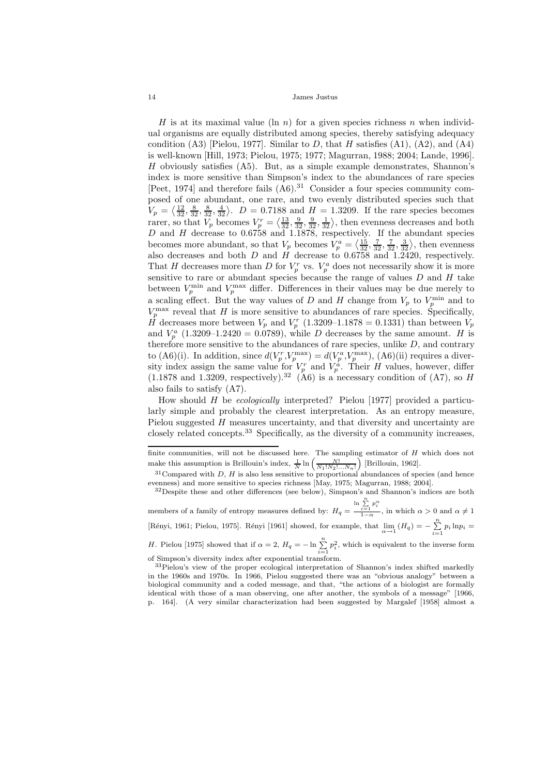H is at its maximal value (ln n) for a given species richness n when individual organisms are equally distributed among species, thereby satisfying adequacy condition  $(A3)$  [Pielou, 1977]. Similar to D, that H satisfies  $(A1)$ ,  $(A2)$ , and  $(A4)$ is well-known [Hill, 1973; Pielou, 1975; 1977; Magurran, 1988; 2004; Lande, 1996].  $H$  obviously satisfies (A5). But, as a simple example demonstrates, Shannon's index is more sensitive than Simpson's index to the abundances of rare species [Peet, 1974] and therefore fails  $(A6)$ .<sup>31</sup> Consider a four species community composed of one abundant, one rare, and two evenly distributed species such that  $V_p = \langle \frac{12}{32}, \frac{8}{32}, \frac{8}{32}, \frac{4}{32} \rangle$ .  $D = 0.7188$  and  $H = 1.3209$ . If the rare species becomes rarer, so that  $V_p$  becomes  $V_p^r = \left\langle \frac{13}{32}, \frac{9}{32}, \frac{9}{32}, \frac{1}{32} \right\rangle$ , then evenness decreases and both D and H decrease to 0.6758 and 1.1878, respectively. If the abundant species becomes more abundant, so that  $V_p$  becomes  $V_p^a = \left\langle \frac{15}{32}, \frac{7}{32}, \frac{3}{32}, \frac{3}{32} \right\rangle$ , then evenness also decreases and both  $D$  and  $H$  decrease to 0.6758 and 1.2420, respectively. That H decreases more than D for  $V_p^r$  vs.  $V_p^a$  does not necessarily show it is more sensitive to rare or abundant species because the range of values  $D$  and  $H$  take between  $V_p^{\text{min}}$  and  $V_p^{\text{max}}$  differ. Differences in their values may be due merely to a scaling effect. But the way values of D and H change from  $V_p$  to  $V_p^{\min}$  and to  $V_p^{\max}$  reveal that H is more sensitive to abundances of rare species. Specifically,  $\dot{H}$  decreases more between  $V_p$  and  $V_p^r$  (1.3209–1.1878 = 0.1331) than between  $V_p$ and  $V_p^a$  (1.3209–1.2420 = 0.0789), while D decreases by the same amount. H is therefore more sensitive to the abundances of rare species, unlike  $D$ , and contrary to (A6)(i). In addition, since  $d(V_p^r, V_p^{\max}) = d(V_p^a, V_p^{\max})$ , (A6)(ii) requires a diversity index assign the same value for  $V_p^r$  and  $V_p^{\hat{a}}$ . Their H values, however, differ  $(1.1878 \text{ and } 1.3209, \text{ respectively})$ .<sup>32</sup> (A6) is a necessary condition of (A7), so H also fails to satisfy (A7).

How should H be ecologically interpreted? Pielou [1977] provided a particularly simple and probably the clearest interpretation. As an entropy measure, Pielou suggested H measures uncertainty, and that diversity and uncertainty are closely related concepts.<sup>33</sup> Specifically, as the diversity of a community increases,

finite communities, will not be discussed here. The sampling estimator of H which does not make this assumption is Brillouin's index,  $\frac{1}{N} \ln \left( \frac{N!}{N_1! N_2! \dots N_n!} \right)$  [Brillouin, 1962].

 $31$ Compared with D, H is also less sensitive to proportional abundances of species (and hence evenness) and more sensitive to species richness [May, 1975; Magurran, 1988; 2004].

 $32$ Despite these and other differences (see below), Simpson's and Shannon's indices are both members of a family of entropy measures defined by:  $H_q =$  $\ln \sum_{i=1}^n p_i^{\alpha}$ 

 $\frac{i=1}{1-\alpha}$ , in which  $\alpha > 0$  and  $\alpha \neq 1$ [Rényi, 1961; Pielou, 1975]. Rényi [1961] showed, for example, that  $\lim_{\alpha \to 1} (H_q) = -\sum_{i=1}^n p_i \ln p_i =$ 

H. Pielou [1975] showed that if  $\alpha = 2$ ,  $H_q = -\ln \sum_{i=1}^{n} p_i^2$ , which is equivalent to the inverse form of Simpson's diversity index after exponential transform.

<sup>33</sup>Pielou's view of the proper ecological interpretation of Shannon's index shifted markedly in the 1960s and 1970s. In 1966, Pielou suggested there was an "obvious analogy" between a biological community and a coded message, and that, "the actions of a biologist are formally identical with those of a man observing, one after another, the symbols of a message" [1966, p. 164]. (A very similar characterization had been suggested by Margalef [1958] almost a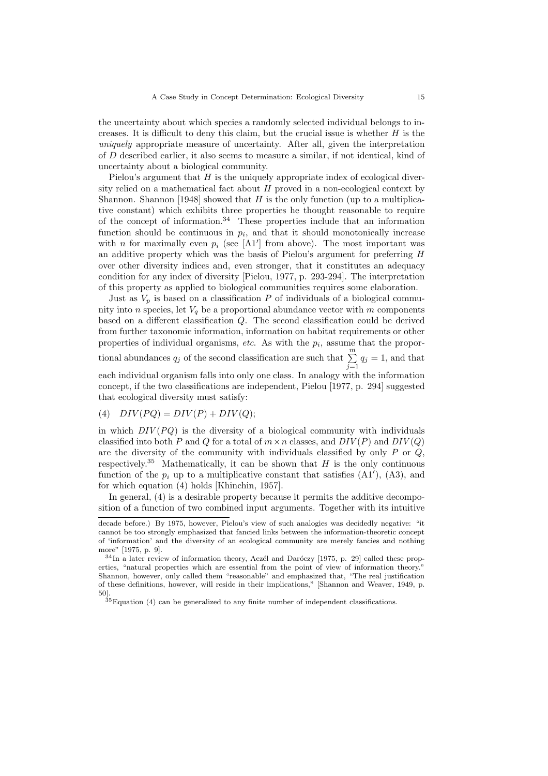the uncertainty about which species a randomly selected individual belongs to increases. It is difficult to deny this claim, but the crucial issue is whether  $H$  is the uniquely appropriate measure of uncertainty. After all, given the interpretation of D described earlier, it also seems to measure a similar, if not identical, kind of uncertainty about a biological community.

Pielou's argument that  $H$  is the uniquely appropriate index of ecological diversity relied on a mathematical fact about  $H$  proved in a non-ecological context by Shannon. Shannon [1948] showed that  $H$  is the only function (up to a multiplicative constant) which exhibits three properties he thought reasonable to require of the concept of information.<sup>34</sup> These properties include that an information function should be continuous in  $p_i$ , and that it should monotonically increase with *n* for maximally even  $p_i$  (see [A1'] from above). The most important was an additive property which was the basis of Pielou's argument for preferring H over other diversity indices and, even stronger, that it constitutes an adequacy condition for any index of diversity [Pielou, 1977, p. 293-294]. The interpretation of this property as applied to biological communities requires some elaboration.

Just as  $V_p$  is based on a classification P of individuals of a biological community into n species, let  $V_q$  be a proportional abundance vector with m components based on a different classification Q. The second classification could be derived from further taxonomic information, information on habitat requirements or other properties of individual organisms, etc. As with the  $p_i$ , assume that the proportional abundances  $q_j$  of the second classification are such that  $\sum_{j=1}^{m} q_j = 1$ , and that each individual organism falls into only one class. In analogy with the information concept, if the two classifications are independent, Pielou [1977, p. 294] suggested that ecological diversity must satisfy:

(4)  $DIV(PQ) = DIV(P) + DIV(Q);$ 

in which  $DIV(PQ)$  is the diversity of a biological community with individuals classified into both P and Q for a total of  $m \times n$  classes, and  $DIV(P)$  and  $DIV(Q)$ are the diversity of the community with individuals classified by only  $P$  or  $Q$ , respectively.<sup>35</sup> Mathematically, it can be shown that H is the only continuous function of the  $p_i$  up to a multiplicative constant that satisfies  $(A1')$ ,  $(A3)$ , and for which equation (4) holds [Khinchin, 1957].

In general, (4) is a desirable property because it permits the additive decomposition of a function of two combined input arguments. Together with its intuitive

decade before.) By 1975, however, Pielou's view of such analogies was decidedly negative: "it cannot be too strongly emphasized that fancied links between the information-theoretic concept of 'information' and the diversity of an ecological community are merely fancies and nothing more" [1975, p. 9].

 $34$ In a later review of information theory, Aczél and Daróczy [1975, p. 29] called these properties, "natural properties which are essential from the point of view of information theory." Shannon, however, only called them "reasonable" and emphasized that, "The real justification of these definitions, however, will reside in their implications," [Shannon and Weaver, 1949, p. 50].

 $35E$ quation (4) can be generalized to any finite number of independent classifications.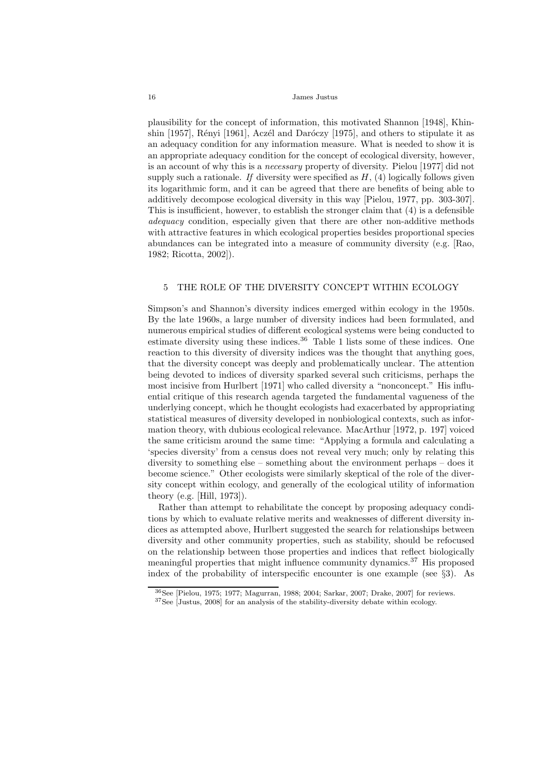plausibility for the concept of information, this motivated Shannon [1948], Khinshin  $[1957]$ , Rényi  $[1961]$ , Aczél and Daróczy  $[1975]$ , and others to stipulate it as an adequacy condition for any information measure. What is needed to show it is an appropriate adequacy condition for the concept of ecological diversity, however, is an account of why this is a necessary property of diversity. Pielou [1977] did not supply such a rationale. If diversity were specified as  $H$ , (4) logically follows given its logarithmic form, and it can be agreed that there are benefits of being able to additively decompose ecological diversity in this way [Pielou, 1977, pp. 303-307]. This is insufficient, however, to establish the stronger claim that (4) is a defensible adequacy condition, especially given that there are other non-additive methods with attractive features in which ecological properties besides proportional species abundances can be integrated into a measure of community diversity (e.g. [Rao, 1982; Ricotta, 2002]).

# 5 THE ROLE OF THE DIVERSITY CONCEPT WITHIN ECOLOGY

Simpson's and Shannon's diversity indices emerged within ecology in the 1950s. By the late 1960s, a large number of diversity indices had been formulated, and numerous empirical studies of different ecological systems were being conducted to estimate diversity using these indices. $36$  Table 1 lists some of these indices. One reaction to this diversity of diversity indices was the thought that anything goes, that the diversity concept was deeply and problematically unclear. The attention being devoted to indices of diversity sparked several such criticisms, perhaps the most incisive from Hurlbert [1971] who called diversity a "nonconcept." His influential critique of this research agenda targeted the fundamental vagueness of the underlying concept, which he thought ecologists had exacerbated by appropriating statistical measures of diversity developed in nonbiological contexts, such as information theory, with dubious ecological relevance. MacArthur [1972, p. 197] voiced the same criticism around the same time: "Applying a formula and calculating a 'species diversity' from a census does not reveal very much; only by relating this diversity to something else – something about the environment perhaps – does it become science." Other ecologists were similarly skeptical of the role of the diversity concept within ecology, and generally of the ecological utility of information theory (e.g. [Hill, 1973]).

Rather than attempt to rehabilitate the concept by proposing adequacy conditions by which to evaluate relative merits and weaknesses of different diversity indices as attempted above, Hurlbert suggested the search for relationships between diversity and other community properties, such as stability, should be refocused on the relationship between those properties and indices that reflect biologically meaningful properties that might influence community dynamics.<sup>37</sup> His proposed index of the probability of interspecific encounter is one example (see §3). As

<sup>36</sup>See [Pielou, 1975; 1977; Magurran, 1988; 2004; Sarkar, 2007; Drake, 2007] for reviews.

<sup>37</sup>See [Justus, 2008] for an analysis of the stability-diversity debate within ecology.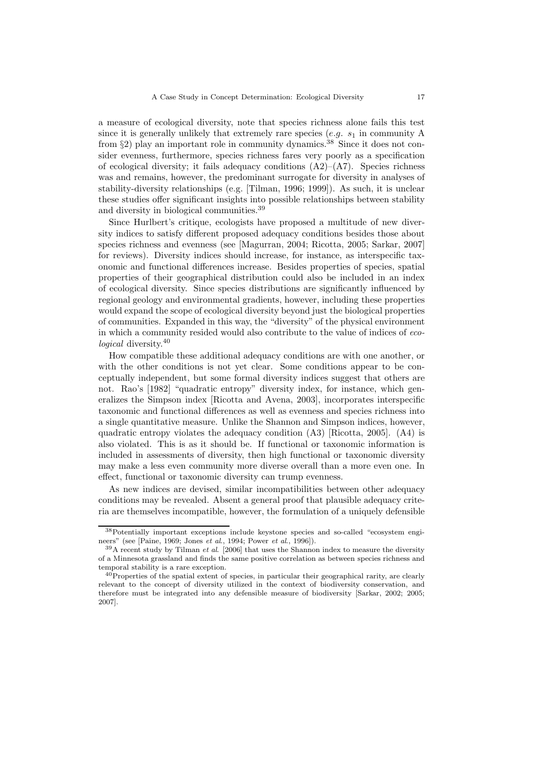a measure of ecological diversity, note that species richness alone fails this test since it is generally unlikely that extremely rare species  $(e.g. s_1)$  in community A from §2) play an important role in community dynamics.<sup>38</sup> Since it does not consider evenness, furthermore, species richness fares very poorly as a specification of ecological diversity; it fails adequacy conditions  $(A2)$ – $(A7)$ . Species richness was and remains, however, the predominant surrogate for diversity in analyses of stability-diversity relationships (e.g. [Tilman, 1996; 1999]). As such, it is unclear these studies offer significant insights into possible relationships between stability and diversity in biological communities.<sup>39</sup>

Since Hurlbert's critique, ecologists have proposed a multitude of new diversity indices to satisfy different proposed adequacy conditions besides those about species richness and evenness (see [Magurran, 2004; Ricotta, 2005; Sarkar, 2007] for reviews). Diversity indices should increase, for instance, as interspecific taxonomic and functional differences increase. Besides properties of species, spatial properties of their geographical distribution could also be included in an index of ecological diversity. Since species distributions are significantly influenced by regional geology and environmental gradients, however, including these properties would expand the scope of ecological diversity beyond just the biological properties of communities. Expanded in this way, the "diversity" of the physical environment in which a community resided would also contribute to the value of indices of ecological diversity.<sup>40</sup>

How compatible these additional adequacy conditions are with one another, or with the other conditions is not yet clear. Some conditions appear to be conceptually independent, but some formal diversity indices suggest that others are not. Rao's [1982] "quadratic entropy" diversity index, for instance, which generalizes the Simpson index [Ricotta and Avena, 2003], incorporates interspecific taxonomic and functional differences as well as evenness and species richness into a single quantitative measure. Unlike the Shannon and Simpson indices, however, quadratic entropy violates the adequacy condition (A3) [Ricotta, 2005]. (A4) is also violated. This is as it should be. If functional or taxonomic information is included in assessments of diversity, then high functional or taxonomic diversity may make a less even community more diverse overall than a more even one. In effect, functional or taxonomic diversity can trump evenness.

As new indices are devised, similar incompatibilities between other adequacy conditions may be revealed. Absent a general proof that plausible adequacy criteria are themselves incompatible, however, the formulation of a uniquely defensible

<sup>38</sup>Potentially important exceptions include keystone species and so-called "ecosystem engineers" (see [Paine, 1969; Jones *et al*., 1994; Power *et al*., 1996]).

<sup>39</sup>A recent study by Tilman *et al*. [2006] that uses the Shannon index to measure the diversity of a Minnesota grassland and finds the same positive correlation as between species richness and temporal stability is a rare exception.

<sup>40</sup>Properties of the spatial extent of species, in particular their geographical rarity, are clearly relevant to the concept of diversity utilized in the context of biodiversity conservation, and therefore must be integrated into any defensible measure of biodiversity [Sarkar, 2002; 2005; 2007].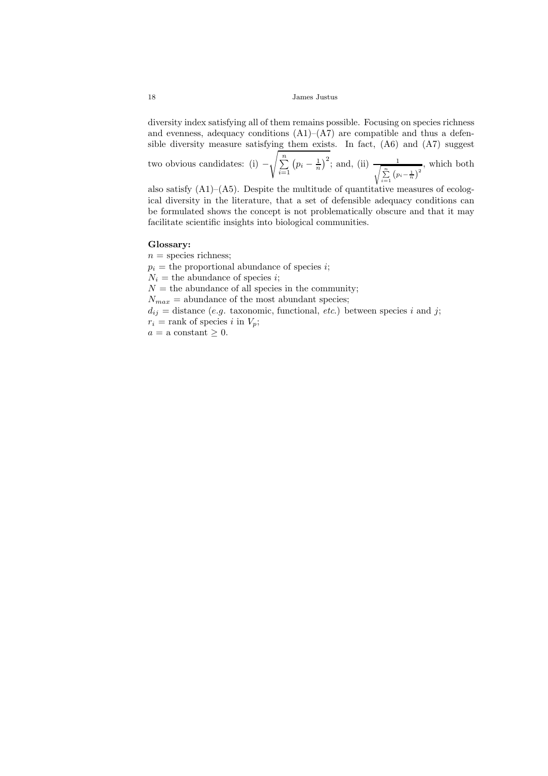diversity index satisfying all of them remains possible. Focusing on species richness and evenness, adequacy conditions  $(A1)$ – $(A7)$  are compatible and thus a defensible diversity measure satisfying them exists. In fact, (A6) and (A7) suggest

two obvious candidates: (i) −  $\sqrt{\sum_{n=1}^{n}}$  $i=1$  $(p_i - \frac{1}{n})^2$ ; and, (ii)  $\frac{1}{\sqrt{n}}$  $\frac{1}{\sum_{i=1}^{n} (p_i - \frac{1}{n})^2}$ , which both

also satisfy  $(A1)$ – $(A5)$ . Despite the multitude of quantitative measures of ecological diversity in the literature, that a set of defensible adequacy conditions can be formulated shows the concept is not problematically obscure and that it may facilitate scientific insights into biological communities.

#### Glossary:

 $n =$  species richness;  $p_i$  = the proportional abundance of species *i*;  $N_i$  = the abundance of species *i*;  $N =$  the abundance of all species in the community;  $N_{max}$  = abundance of the most abundant species;  $d_{ij}$  = distance (e.g. taxonomic, functional, etc.) between species i and j;  $r_i$  = rank of species i in  $V_p$ ;  $a =$  a constant  $\geq 0$ .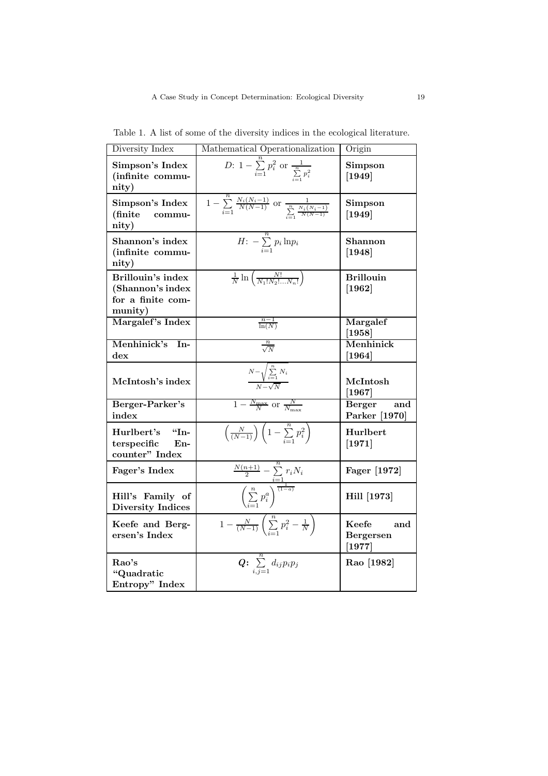| Diversity Index                                                       | Mathematical Operationalization                                                                                                     | Origin                                                      |
|-----------------------------------------------------------------------|-------------------------------------------------------------------------------------------------------------------------------------|-------------------------------------------------------------|
| Simpson's Index<br>(infinite commu-<br>nity)                          | <i>D</i> : $1 - \sum_{i=1}^{n} p_i^2$ or $\frac{1}{\sum_{i=1}^{n} p_i^2}$                                                           | Simpson<br>$[1949]$                                         |
| Simpson's Index<br>(finite)<br>commu-<br>nity)                        | $1 - \sum_{i=1}^{n} \frac{N_i(N_i-1)}{N(N-1)}$ or $\frac{1}{\sum_{i=1}^{n} \frac{N_i(N_i-1)}{N(N-1)}}$                              | Simpson<br>$[1949]$                                         |
| Shannon's index<br>(infinite commu-<br>nity)                          | $H: -\sum_{i=1}^n p_i \ln p_i$                                                                                                      | Shannon<br>$[1948]$                                         |
| Brillouin's index<br>(Shannon's index<br>for a finite com-<br>munity) | $\frac{1}{N}\ln\left(\frac{N!}{N_1!N_2!\ldots N_n!}\right)$                                                                         | <b>Brillouin</b><br>$[1962]$                                |
| Margalef's Index                                                      | $\frac{n-1}{\ln(N)}$                                                                                                                | Margalef<br>[1958]                                          |
| Menhinick's In-<br>$_{\rm dex}$                                       | $\frac{n}{\sqrt{N}}$                                                                                                                | Menhinick<br>[1964]                                         |
| McIntosh's index                                                      | $N-\sqrt{\sum_{i=1}^n N_i}$                                                                                                         | McIntosh<br>$\left\lceil 1967\right\rceil$                  |
| Berger-Parker's<br>index                                              | $1 - \frac{N_{\text{max}}}{N}$ or $\frac{N}{N_{\text{max}}}$                                                                        | <b>Berger</b><br>and<br>Parker [1970]                       |
| Hurlbert's<br>$\rm$ "In-<br>terspecific<br>$En-$<br>counter" Index    | $\left(\frac{N}{(N-1)}\right)\left(1-\sum_{i=1}^n p_i^2\right)$                                                                     | Hurlbert<br>$[1971]$                                        |
| Fager's Index                                                         |                                                                                                                                     | Fager [1972]                                                |
| Hill's Family of<br><b>Diversity Indices</b>                          | $\frac{\frac{N(n+1)}{2}-\sum\limits_{i=1}^{n}\overline{r_{i}N_{i}}}{\left(\sum\limits_{i=1}^{n}p_{i}^{a}\right)^{\frac{1}{(1-a)}}}$ | Hill [1973]                                                 |
| Keefe and Berg-<br>ersen's Index                                      | $\overline{1-\frac{N}{(N-1)}}\left(\sum_{i=1}^{n}p_{i}^{2}-\frac{1}{N}\right)$                                                      | Keefe<br>and<br>Bergersen<br>$\left\lceil 1977\right\rceil$ |
| Rao's<br>"Quadratic<br>Entropy" Index                                 | $Q: \sum_{i,j=1}^n d_{ij} p_i p_j$                                                                                                  | Rao [1982]                                                  |

Table 1. A list of some of the diversity indices in the ecological literature.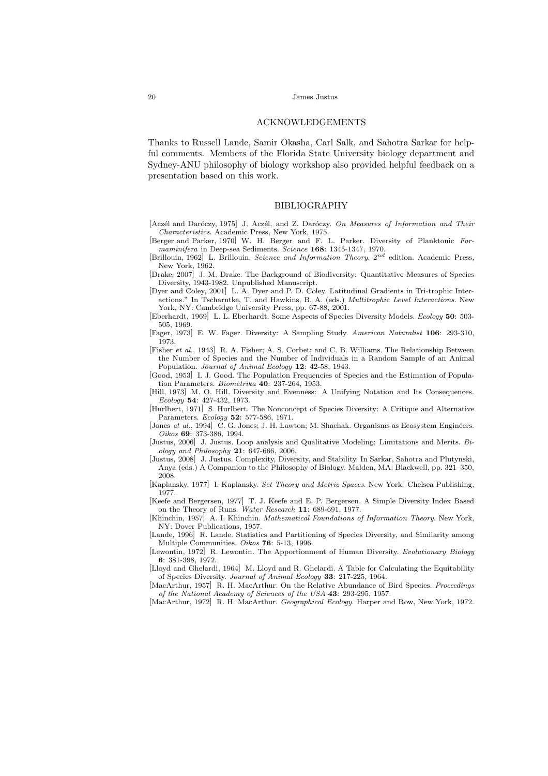## ACKNOWLEDGEMENTS

Thanks to Russell Lande, Samir Okasha, Carl Salk, and Sahotra Sarkar for helpful comments. Members of the Florida State University biology department and Sydney-ANU philosophy of biology workshop also provided helpful feedback on a presentation based on this work.

## BIBLIOGRAPHY

- [Aczél and Daróczy, 1975] J. Aczél, and Z. Daróczy. *On Measures of Information and Their Characteristics*. Academic Press, New York, 1975.
- [Berger and Parker, 1970] W. H. Berger and F. L. Parker. Diversity of Planktonic *Formaminifera* in Deep-sea Sediments. *Science* 168: 1345-1347, 1970.
- [Brillouin, 1962] L. Brillouin. *Science and Information Theory*. 2nd edition. Academic Press, New York, 1962.
- [Drake, 2007] J. M. Drake. The Background of Biodiversity: Quantitative Measures of Species Diversity, 1943-1982. Unpublished Manuscript.
- [Dyer and Coley, 2001] L. A. Dyer and P. D. Coley. Latitudinal Gradients in Tri-trophic Interactions." In Tscharntke, T. and Hawkins, B. A. (eds.) *Multitrophic Level Interactions*. New York, NY: Cambridge University Press, pp. 67-88, 2001.
- [Eberhardt, 1969] L. L. Eberhardt. Some Aspects of Species Diversity Models. *Ecology* 50: 503- 505, 1969.
- [Fager, 1973] E. W. Fager. Diversity: A Sampling Study. *American Naturalist* 106: 293-310, 1973.
- [Fisher *et al.*, 1943] R. A. Fisher; A. S. Corbet; and C. B. Williams. The Relationship Between the Number of Species and the Number of Individuals in a Random Sample of an Animal Population. *Journal of Animal Ecology* 12: 42-58, 1943.
- [Good, 1953] I. J. Good. The Population Frequencies of Species and the Estimation of Population Parameters. *Biometrika* 40: 237-264, 1953.
- [Hill, 1973] M. O. Hill. Diversity and Evenness: A Unifying Notation and Its Consequences. *Ecology* 54: 427-432, 1973.
- [Hurlbert, 1971] S. Hurlbert. The Nonconcept of Species Diversity: A Critique and Alternative Parameters. *Ecology* 52: 577-586, 1971.
- [Jones *et al.*, 1994] C. G. Jones; J. H. Lawton; M. Shachak. Organisms as Ecosystem Engineers. *Oikos* 69: 373-386, 1994.
- [Justus, 2006] J. Justus. Loop analysis and Qualitative Modeling: Limitations and Merits. *Biology and Philosophy* 21: 647-666, 2006.
- [Justus, 2008] J. Justus. Complexity, Diversity, and Stability. In Sarkar, Sahotra and Plutynski, Anya (eds.) A Companion to the Philosophy of Biology. Malden, MA: Blackwell, pp. 321–350, 2008.
- [Kaplansky, 1977] I. Kaplansky. *Set Theory and Metric Spaces*. New York: Chelsea Publishing, 1977.
- [Keefe and Bergersen, 1977] T. J. Keefe and E. P. Bergersen. A Simple Diversity Index Based on the Theory of Runs. *Water Research* 11: 689-691, 1977.
- [Khinchin, 1957] A. I. Khinchin. *Mathematical Foundations of Information Theory*. New York, NY: Dover Publications, 1957.
- [Lande, 1996] R. Lande. Statistics and Partitioning of Species Diversity, and Similarity among Multiple Communities. *Oikos* 76: 5-13, 1996.
- [Lewontin, 1972] R. Lewontin. The Apportionment of Human Diversity. *Evolutionary Biology* 6: 381-398, 1972.
- [Lloyd and Ghelardi, 1964] M. Lloyd and R. Ghelardi. A Table for Calculating the Equitability of Species Diversity. *Journal of Animal Ecology* 33: 217-225, 1964.
- [MacArthur, 1957] R. H. MacArthur. On the Relative Abundance of Bird Species. *Proceedings of the National Academy of Sciences of the USA* 43: 293-295, 1957.

<sup>[</sup>MacArthur, 1972] R. H. MacArthur. *Geographical Ecology*. Harper and Row, New York, 1972.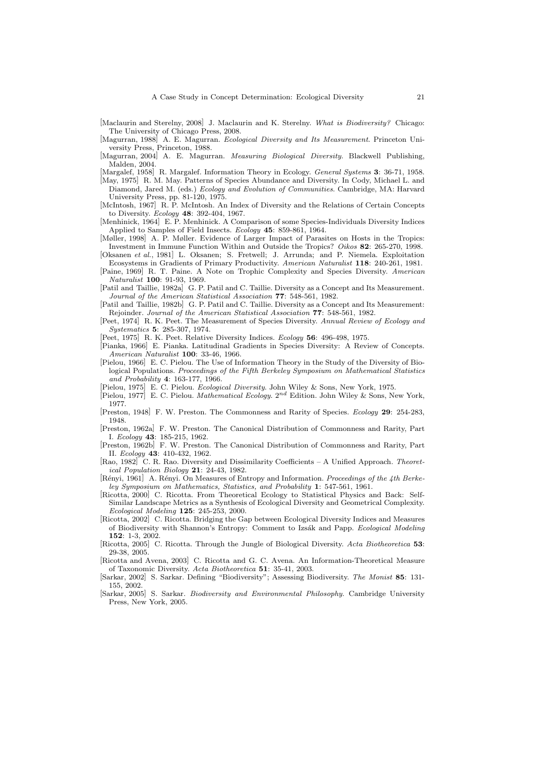[Maclaurin and Sterelny, 2008] J. Maclaurin and K. Sterelny. *What is Biodiversity?* Chicago: The University of Chicago Press, 2008.

- [Magurran, 1988] A. E. Magurran. *Ecological Diversity and Its Measurement*. Princeton University Press, Princeton, 1988.
- [Magurran, 2004] A. E. Magurran. *Measuring Biological Diversity*. Blackwell Publishing, Malden, 2004.
- [Margalef, 1958] R. Margalef. Information Theory in Ecology. *General Systems* 3: 36-71, 1958.
- [May, 1975] R. M. May. Patterns of Species Abundance and Diversity. In Cody, Michael L. and Diamond, Jared M. (eds.) *Ecology and Evolution of Communities*. Cambridge, MA: Harvard University Press, pp. 81-120, 1975.
- [McIntosh, 1967] R. P. McIntosh. An Index of Diversity and the Relations of Certain Concepts to Diversity. *Ecology* 48: 392-404, 1967.
- [Menhinick, 1964] E. P. Menhinick. A Comparison of some Species-Individuals Diversity Indices Applied to Samples of Field Insects. *Ecology* 45: 859-861, 1964.
- [Møller, 1998] A. P. Møller. Evidence of Larger Impact of Parasites on Hosts in the Tropics: Investment in Immune Function Within and Outside the Tropics? *Oikos* 82: 265-270, 1998.
- [Oksanen *et al.*, 1981] L. Oksanen; S. Fretwell; J. Arrunda; and P. Niemela. Exploitation Ecosystems in Gradients of Primary Productivity. *American Naturalist* 118: 240-261, 1981.
- [Paine, 1969] R. T. Paine. A Note on Trophic Complexity and Species Diversity. *American Naturalist* 100: 91-93, 1969.
- [Patil and Taillie, 1982a] G. P. Patil and C. Taillie. Diversity as a Concept and Its Measurement. *Journal of the American Statistical Association* 77: 548-561, 1982.
- [Patil and Taillie, 1982b] G. P. Patil and C. Taillie. Diversity as a Concept and Its Measurement: Rejoinder. *Journal of the American Statistical Association* 77: 548-561, 1982.
- [Peet, 1974] R. K. Peet. The Measurement of Species Diversity. *Annual Review of Ecology and Systematics* 5: 285-307, 1974.
- [Peet, 1975] R. K. Peet. Relative Diversity Indices. *Ecology* 56: 496-498, 1975.
- [Pianka, 1966] E. Pianka. Latitudinal Gradients in Species Diversity: A Review of Concepts. *American Naturalist* 100: 33-46, 1966.
- [Pielou, 1966] E. C. Pielou. The Use of Information Theory in the Study of the Diversity of Biological Populations. *Proceedings of the Fifth Berkeley Symposium on Mathematical Statistics and Probability* 4: 163-177, 1966.
- [Pielou, 1975] E. C. Pielou. *Ecological Diversity*. John Wiley & Sons, New York, 1975.
- [Pielou, 1977] E. C. Pielou. *Mathematical Ecology*. 2nd Edition. John Wiley & Sons, New York, 1977.
- [Preston, 1948] F. W. Preston. The Commonness and Rarity of Species. *Ecology* 29: 254-283, 1948.
- [Preston, 1962a] F. W. Preston. The Canonical Distribution of Commonness and Rarity, Part I. *Ecology* 43: 185-215, 1962.
- [Preston, 1962b] F. W. Preston. The Canonical Distribution of Commonness and Rarity, Part II. *Ecology* 43: 410-432, 1962.
- [Rao, 1982] C. R. Rao. Diversity and Dissimilarity Coefficients A Unified Approach. *Theoretical Population Biology* 21: 24-43, 1982.
- [Rényi, 1961] A. Rényi. On Measures of Entropy and Information. *Proceedings of the 4th Berkeley Symposium on Mathematics, Statistics, and Probability* 1: 547-561, 1961.
- [Ricotta, 2000] C. Ricotta. From Theoretical Ecology to Statistical Physics and Back: Self-Similar Landscape Metrics as a Synthesis of Ecological Diversity and Geometrical Complexity. *Ecological Modeling* 125: 245-253, 2000.
- [Ricotta, 2002] C. Ricotta. Bridging the Gap between Ecological Diversity Indices and Measures of Biodiversity with Shannon's Entropy: Comment to Izs´ak and Papp. *Ecological Modeling* 152: 1-3, 2002.
- [Ricotta, 2005] C. Ricotta. Through the Jungle of Biological Diversity. *Acta Biotheoretica* 53: 29-38, 2005.
- [Ricotta and Avena, 2003] C. Ricotta and G. C. Avena. An Information-Theoretical Measure of Taxonomic Diversity. *Acta Biotheoretica* 51: 35-41, 2003.
- [Sarkar, 2002] S. Sarkar. Defining "Biodiversity"; Assessing Biodiversity. *The Monist* 85: 131- 155, 2002.
- [Sarkar, 2005] S. Sarkar. *Biodiversity and Environmental Philosophy*. Cambridge University Press, New York, 2005.